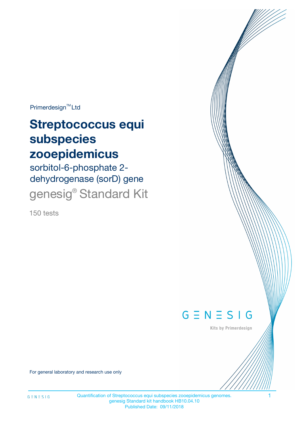Primerdesign<sup>™</sup>Ltd

# **Streptococcus equi subspecies zooepidemicus**

sorbitol-6-phosphate 2 dehydrogenase (sorD) gene genesig® Standard Kit

150 tests



Kits by Primerdesign

For general laboratory and research use only

Quantification of Streptococcus equi subspecies zooepidemicus genomes. 1 genesig Standard kit handbook HB10.04.10 Published Date: 09/11/2018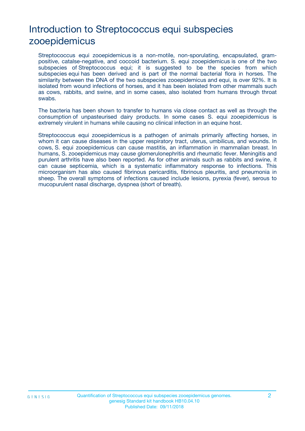# Introduction to Streptococcus equi subspecies zooepidemicus

Streptococcus equi zooepidemicus is a non-motile, non-sporulating, encapsulated, grampositive, catalse-negative, and coccoid bacterium. S. equi zooepidemicus is one of the two subspecies of Streptococcus equi; it is suggested to be the species from which subspecies equi has been derived and is part of the normal bacterial flora in horses. The similarity between the DNA of the two subspecies zooepidemicus and equi, is over 92%. It is isolated from wound infections of horses, and it has been isolated from other mammals such as cows, rabbits, and swine, and in some cases, also isolated from humans through throat swabs.

The bacteria has been shown to transfer to humans via close contact as well as through the consumption of unpasteurised dairy products. In some cases S. equi zooepidemicus is extremely virulent in humans while causing no clinical infection in an equine host.

Streptococcus equi zooepidemicus is a pathogen of animals primarily affecting horses, in whom it can cause diseases in the upper respiratory tract, uterus, umbilicus, and wounds. In cows, S. equi zooepidemicus can cause mastitis, an inflammation in mammalian breast. In humans, S. zooepidemicus may cause glomerulonephritis and rheumatic fever. Meningitis and purulent arthritis have also been reported. As for other animals such as rabbits and swine, it can cause septicemia, which is a systematic inflammatory response to infections. This microorganism has also caused fibrinous pericarditis, fibrinous pleuritis, and pneumonia in sheep. The overall symptoms of infections caused include lesions, pyrexia (fever), serous to mucopurulent nasal discharge, dyspnea (short of breath).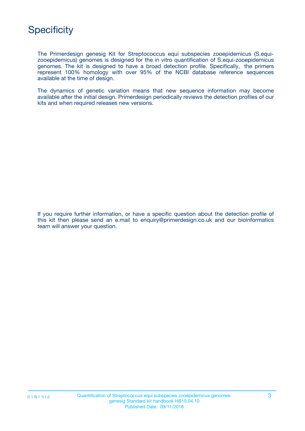# **Specificity**

The Primerdesign genesig Kit for Streptococcus equi subspecies zooepidemicus (S.equizooepidemicus) genomes is designed for the in vitro quantification of S.equi-zooepidemicus genomes. The kit is designed to have a broad detection profile. Specifically, the primers represent 100% homology with over 95% of the NCBI database reference sequences available at the time of design.

The dynamics of genetic variation means that new sequence information may become available after the initial design. Primerdesign periodically reviews the detection profiles of our kits and when required releases new versions.

If you require further information, or have a specific question about the detection profile of this kit then please send an e.mail to enquiry@primerdesign.co.uk and our bioinformatics team will answer your question.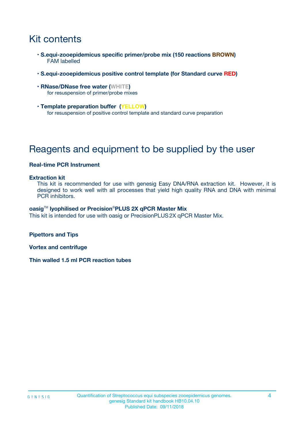# Kit contents

- **S.equi-zooepidemicus specific primer/probe mix (150 reactions BROWN)** FAM labelled
- **S.equi-zooepidemicus positive control template (for Standard curve RED)**
- **RNase/DNase free water (WHITE)** for resuspension of primer/probe mixes
- **Template preparation buffer (YELLOW)** for resuspension of positive control template and standard curve preparation

# Reagents and equipment to be supplied by the user

#### **Real-time PCR Instrument**

#### **Extraction kit**

This kit is recommended for use with genesig Easy DNA/RNA extraction kit. However, it is designed to work well with all processes that yield high quality RNA and DNA with minimal PCR inhibitors.

#### **oasig**TM **lyophilised or Precision**®**PLUS 2X qPCR Master Mix**

This kit is intended for use with oasig or PrecisionPLUS2X qPCR Master Mix.

**Pipettors and Tips**

**Vortex and centrifuge**

**Thin walled 1.5 ml PCR reaction tubes**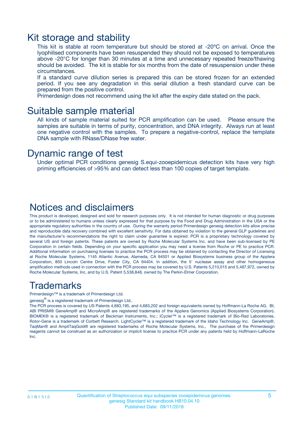### Kit storage and stability

This kit is stable at room temperature but should be stored at -20ºC on arrival. Once the lyophilised components have been resuspended they should not be exposed to temperatures above -20°C for longer than 30 minutes at a time and unnecessary repeated freeze/thawing should be avoided. The kit is stable for six months from the date of resuspension under these circumstances.

If a standard curve dilution series is prepared this can be stored frozen for an extended period. If you see any degradation in this serial dilution a fresh standard curve can be prepared from the positive control.

Primerdesign does not recommend using the kit after the expiry date stated on the pack.

### Suitable sample material

All kinds of sample material suited for PCR amplification can be used. Please ensure the samples are suitable in terms of purity, concentration, and DNA integrity. Always run at least one negative control with the samples. To prepare a negative-control, replace the template DNA sample with RNase/DNase free water.

### Dynamic range of test

Under optimal PCR conditions genesig S.equi-zooepidemicus detection kits have very high priming efficiencies of >95% and can detect less than 100 copies of target template.

### Notices and disclaimers

This product is developed, designed and sold for research purposes only. It is not intended for human diagnostic or drug purposes or to be administered to humans unless clearly expressed for that purpose by the Food and Drug Administration in the USA or the appropriate regulatory authorities in the country of use. During the warranty period Primerdesign genesig detection kits allow precise and reproducible data recovery combined with excellent sensitivity. For data obtained by violation to the general GLP guidelines and the manufacturer's recommendations the right to claim under guarantee is expired. PCR is a proprietary technology covered by several US and foreign patents. These patents are owned by Roche Molecular Systems Inc. and have been sub-licensed by PE Corporation in certain fields. Depending on your specific application you may need a license from Roche or PE to practice PCR. Additional information on purchasing licenses to practice the PCR process may be obtained by contacting the Director of Licensing at Roche Molecular Systems, 1145 Atlantic Avenue, Alameda, CA 94501 or Applied Biosystems business group of the Applera Corporation, 850 Lincoln Centre Drive, Foster City, CA 94404. In addition, the 5' nuclease assay and other homogeneous amplification methods used in connection with the PCR process may be covered by U.S. Patents 5,210,015 and 5,487,972, owned by Roche Molecular Systems, Inc, and by U.S. Patent 5,538,848, owned by The Perkin-Elmer Corporation.

### Trademarks

Primerdesign™ is a trademark of Primerdesign Ltd.

genesig $^\circledR$  is a registered trademark of Primerdesign Ltd.

The PCR process is covered by US Patents 4,683,195, and 4,683,202 and foreign equivalents owned by Hoffmann-La Roche AG. BI, ABI PRISM® GeneAmp® and MicroAmp® are registered trademarks of the Applera Genomics (Applied Biosystems Corporation). BIOMEK® is a registered trademark of Beckman Instruments, Inc.; iCycler™ is a registered trademark of Bio-Rad Laboratories, Rotor-Gene is a trademark of Corbett Research. LightCycler™ is a registered trademark of the Idaho Technology Inc. GeneAmp®, TaqMan® and AmpliTaqGold® are registered trademarks of Roche Molecular Systems, Inc., The purchase of the Primerdesign reagents cannot be construed as an authorization or implicit license to practice PCR under any patents held by Hoffmann-LaRoche Inc.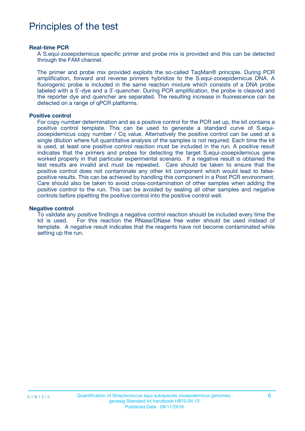### Principles of the test

#### **Real-time PCR**

A S.equi-zooepidemicus specific primer and probe mix is provided and this can be detected through the FAM channel.

The primer and probe mix provided exploits the so-called TaqMan® principle. During PCR amplification, forward and reverse primers hybridize to the S.equi-zooepidemicus DNA. A fluorogenic probe is included in the same reaction mixture which consists of a DNA probe labeled with a 5`-dye and a 3`-quencher. During PCR amplification, the probe is cleaved and the reporter dye and quencher are separated. The resulting increase in fluorescence can be detected on a range of qPCR platforms.

#### **Positive control**

For copy number determination and as a positive control for the PCR set up, the kit contains a positive control template. This can be used to generate a standard curve of S.equizooepidemicus copy number / Cq value. Alternatively the positive control can be used at a single dilution where full quantitative analysis of the samples is not required. Each time the kit is used, at least one positive control reaction must be included in the run. A positive result indicates that the primers and probes for detecting the target S.equi-zooepidemicus gene worked properly in that particular experimental scenario. If a negative result is obtained the test results are invalid and must be repeated. Care should be taken to ensure that the positive control does not contaminate any other kit component which would lead to falsepositive results. This can be achieved by handling this component in a Post PCR environment. Care should also be taken to avoid cross-contamination of other samples when adding the positive control to the run. This can be avoided by sealing all other samples and negative controls before pipetting the positive control into the positive control well.

#### **Negative control**

To validate any positive findings a negative control reaction should be included every time the kit is used. For this reaction the RNase/DNase free water should be used instead of template. A negative result indicates that the reagents have not become contaminated while setting up the run.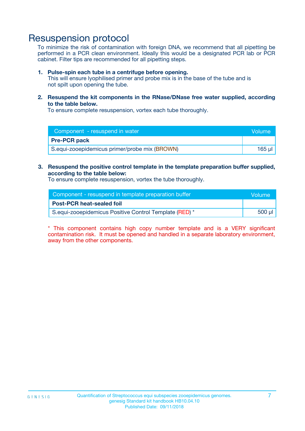### Resuspension protocol

To minimize the risk of contamination with foreign DNA, we recommend that all pipetting be performed in a PCR clean environment. Ideally this would be a designated PCR lab or PCR cabinet. Filter tips are recommended for all pipetting steps.

#### **1. Pulse-spin each tube in a centrifuge before opening.**

This will ensure lyophilised primer and probe mix is in the base of the tube and is not spilt upon opening the tube.

**2. Resuspend the kit components in the RNase/DNase free water supplied, according to the table below.**

To ensure complete resuspension, vortex each tube thoroughly.

| Component - resuspend in water                | <b>Nolume</b> |
|-----------------------------------------------|---------------|
| <b>Pre-PCR pack</b>                           |               |
| S.equi-zooepidemicus primer/probe mix (BROWN) | 165 ul        |

#### **3. Resuspend the positive control template in the template preparation buffer supplied, according to the table below:**

To ensure complete resuspension, vortex the tube thoroughly.

| Component - resuspend in template preparation buffer   | Volume |
|--------------------------------------------------------|--------|
| <b>Post-PCR heat-sealed foil</b>                       |        |
| S.equi-zooepidemicus Positive Control Template (RED) * | 500 µl |

\* This component contains high copy number template and is a VERY significant contamination risk. It must be opened and handled in a separate laboratory environment, away from the other components.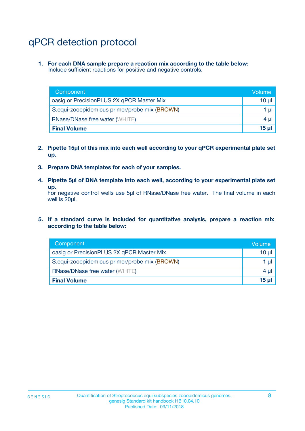# qPCR detection protocol

**1. For each DNA sample prepare a reaction mix according to the table below:** Include sufficient reactions for positive and negative controls.

| Component                                     | Volume   |
|-----------------------------------------------|----------|
| oasig or PrecisionPLUS 2X qPCR Master Mix     | $10 \mu$ |
| S.equi-zooepidemicus primer/probe mix (BROWN) | 1 µl     |
| <b>RNase/DNase free water (WHITE)</b>         | $4 \mu$  |
| <b>Final Volume</b>                           | 15 ul    |

- **2. Pipette 15µl of this mix into each well according to your qPCR experimental plate set up.**
- **3. Prepare DNA templates for each of your samples.**
- **4. Pipette 5µl of DNA template into each well, according to your experimental plate set up.**

For negative control wells use 5µl of RNase/DNase free water. The final volume in each well is 20µl.

**5. If a standard curve is included for quantitative analysis, prepare a reaction mix according to the table below:**

| Component                                     | Volume   |
|-----------------------------------------------|----------|
| oasig or PrecisionPLUS 2X qPCR Master Mix     | 10 µl    |
| S.equi-zooepidemicus primer/probe mix (BROWN) | 1 µI     |
| <b>RNase/DNase free water (WHITE)</b>         | $4 \mu$  |
| <b>Final Volume</b>                           | $15 \mu$ |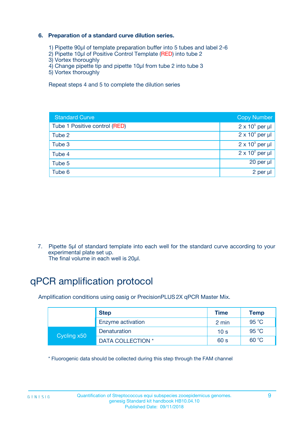### **6. Preparation of a standard curve dilution series.**

- 1) Pipette 90µl of template preparation buffer into 5 tubes and label 2-6
- 2) Pipette 10µl of Positive Control Template (RED) into tube 2
- 3) Vortex thoroughly
- 4) Change pipette tip and pipette 10µl from tube 2 into tube 3
- 5) Vortex thoroughly

Repeat steps 4 and 5 to complete the dilution series

| <b>Standard Curve</b>         | <b>Copy Number</b>     |
|-------------------------------|------------------------|
| Tube 1 Positive control (RED) | $2 \times 10^5$ per µl |
| Tube 2                        | $2 \times 10^4$ per µl |
| Tube 3                        | $2 \times 10^3$ per µl |
| Tube 4                        | $2 \times 10^2$ per µl |
| Tube 5                        | 20 per µl              |
| Tube 6                        | $2$ per $\mu$          |

7. Pipette 5µl of standard template into each well for the standard curve according to your experimental plate set up.

The final volume in each well is 20µl.

# qPCR amplification protocol

Amplification conditions using oasig or PrecisionPLUS2X qPCR Master Mix.

| <b>Step</b> |                   | <b>Time</b>     | Temp    |
|-------------|-------------------|-----------------|---------|
|             | Enzyme activation | 2 min           | 95 °C   |
| Cycling x50 | Denaturation      | 10 <sub>s</sub> | 95 $°C$ |
|             | DATA COLLECTION * | 60 s            | 60 °C   |

\* Fluorogenic data should be collected during this step through the FAM channel